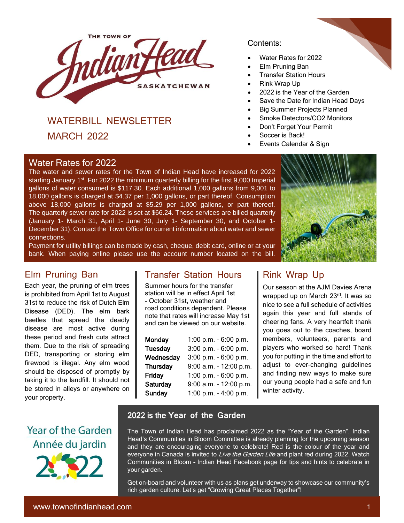

# WATERBILL NEWSLETTER

MARCH 2022

#### ł [Water Rates for 2022](https://l.facebook.com/l.php?u=http%3A%2F%2Fwww.sama.sk.ca%2F%3Ffbclid%3DIwAR19Zol76tceDCpLc_EB3gZI4eVFqHT4Kunw6Ao1s-0CyoC8Cr70aQCnN7g&h=AT2HQtTs4rWQOXjiYIQOwisJSo9chPs-aHBq8wxz1k2dHJkzukiIcfFw580O1P4OF5I7vGUCVCjk2GSeiJO54fkZKzDmxO_nBlWYtxJdgNZoQK1zpEZmspwQf5WlXStfrQ&__tn__=H%2CW0H-R&c%5b0%5d=AT0GhBKStF1JXeIC09CwTn30262yDz8mZG0EHxz_DaTDqYsiJDz9ODluwO1ekSSfSZdNW5vhsMHt764hx7Zhsc76pQqZ_PODoGFKe3zGOghVfDjwwxTKfLtkMJvIujnTkdYH7Y_HwgHx2lOFebeNAziEfbptua7XF7R31Z3qXO6lQ9jbKvqAhxmME6zW924Ug35UCThlJuZcslw)

[The water and sewer rates for the Town of Indian Head have increased for 2022](https://l.facebook.com/l.php?u=http%3A%2F%2Fwww.sama.sk.ca%2F%3Ffbclid%3DIwAR19Zol76tceDCpLc_EB3gZI4eVFqHT4Kunw6Ao1s-0CyoC8Cr70aQCnN7g&h=AT2HQtTs4rWQOXjiYIQOwisJSo9chPs-aHBq8wxz1k2dHJkzukiIcfFw580O1P4OF5I7vGUCVCjk2GSeiJO54fkZKzDmxO_nBlWYtxJdgNZoQK1zpEZmspwQf5WlXStfrQ&__tn__=H%2CW0H-R&c%5b0%5d=AT0GhBKStF1JXeIC09CwTn30262yDz8mZG0EHxz_DaTDqYsiJDz9ODluwO1ekSSfSZdNW5vhsMHt764hx7Zhsc76pQqZ_PODoGFKe3zGOghVfDjwwxTKfLtkMJvIujnTkdYH7Y_HwgHx2lOFebeNAziEfbptua7XF7R31Z3qXO6lQ9jbKvqAhxmME6zW924Ug35UCThlJuZcslw)  starting January 1<sup>st</sup>. For 2022 the minimum quarterly billing for the first 9,000 Imperial [gallons of water consumed is \\$117.30. Each additional 1,000 gallons from 9,001 to](https://l.facebook.com/l.php?u=http%3A%2F%2Fwww.sama.sk.ca%2F%3Ffbclid%3DIwAR19Zol76tceDCpLc_EB3gZI4eVFqHT4Kunw6Ao1s-0CyoC8Cr70aQCnN7g&h=AT2HQtTs4rWQOXjiYIQOwisJSo9chPs-aHBq8wxz1k2dHJkzukiIcfFw580O1P4OF5I7vGUCVCjk2GSeiJO54fkZKzDmxO_nBlWYtxJdgNZoQK1zpEZmspwQf5WlXStfrQ&__tn__=H%2CW0H-R&c%5b0%5d=AT0GhBKStF1JXeIC09CwTn30262yDz8mZG0EHxz_DaTDqYsiJDz9ODluwO1ekSSfSZdNW5vhsMHt764hx7Zhsc76pQqZ_PODoGFKe3zGOghVfDjwwxTKfLtkMJvIujnTkdYH7Y_HwgHx2lOFebeNAziEfbptua7XF7R31Z3qXO6lQ9jbKvqAhxmME6zW924Ug35UCThlJuZcslw)  [18,000 gallons is charged at \\$4.37 per 1,000 gallons, or part thereof. Consumption](https://l.facebook.com/l.php?u=http%3A%2F%2Fwww.sama.sk.ca%2F%3Ffbclid%3DIwAR19Zol76tceDCpLc_EB3gZI4eVFqHT4Kunw6Ao1s-0CyoC8Cr70aQCnN7g&h=AT2HQtTs4rWQOXjiYIQOwisJSo9chPs-aHBq8wxz1k2dHJkzukiIcfFw580O1P4OF5I7vGUCVCjk2GSeiJO54fkZKzDmxO_nBlWYtxJdgNZoQK1zpEZmspwQf5WlXStfrQ&__tn__=H%2CW0H-R&c%5b0%5d=AT0GhBKStF1JXeIC09CwTn30262yDz8mZG0EHxz_DaTDqYsiJDz9ODluwO1ekSSfSZdNW5vhsMHt764hx7Zhsc76pQqZ_PODoGFKe3zGOghVfDjwwxTKfLtkMJvIujnTkdYH7Y_HwgHx2lOFebeNAziEfbptua7XF7R31Z3qXO6lQ9jbKvqAhxmME6zW924Ug35UCThlJuZcslw)  [above 18,000 gallons is charged at \\$5.29 per 1,000 gallons, or part thereof.](https://l.facebook.com/l.php?u=http%3A%2F%2Fwww.sama.sk.ca%2F%3Ffbclid%3DIwAR19Zol76tceDCpLc_EB3gZI4eVFqHT4Kunw6Ao1s-0CyoC8Cr70aQCnN7g&h=AT2HQtTs4rWQOXjiYIQOwisJSo9chPs-aHBq8wxz1k2dHJkzukiIcfFw580O1P4OF5I7vGUCVCjk2GSeiJO54fkZKzDmxO_nBlWYtxJdgNZoQK1zpEZmspwQf5WlXStfrQ&__tn__=H%2CW0H-R&c%5b0%5d=AT0GhBKStF1JXeIC09CwTn30262yDz8mZG0EHxz_DaTDqYsiJDz9ODluwO1ekSSfSZdNW5vhsMHt764hx7Zhsc76pQqZ_PODoGFKe3zGOghVfDjwwxTKfLtkMJvIujnTkdYH7Y_HwgHx2lOFebeNAziEfbptua7XF7R31Z3qXO6lQ9jbKvqAhxmME6zW924Ug35UCThlJuZcslw)  The [quarterly sewer rate for 2022 is set at \\$66.24. These services](https://l.facebook.com/l.php?u=http%3A%2F%2Fwww.sama.sk.ca%2F%3Ffbclid%3DIwAR19Zol76tceDCpLc_EB3gZI4eVFqHT4Kunw6Ao1s-0CyoC8Cr70aQCnN7g&h=AT2HQtTs4rWQOXjiYIQOwisJSo9chPs-aHBq8wxz1k2dHJkzukiIcfFw580O1P4OF5I7vGUCVCjk2GSeiJO54fkZKzDmxO_nBlWYtxJdgNZoQK1zpEZmspwQf5WlXStfrQ&__tn__=H%2CW0H-R&c%5b0%5d=AT0GhBKStF1JXeIC09CwTn30262yDz8mZG0EHxz_DaTDqYsiJDz9ODluwO1ekSSfSZdNW5vhsMHt764hx7Zhsc76pQqZ_PODoGFKe3zGOghVfDjwwxTKfLtkMJvIujnTkdYH7Y_HwgHx2lOFebeNAziEfbptua7XF7R31Z3qXO6lQ9jbKvqAhxmME6zW924Ug35UCThlJuZcslw) are billed quarterly (January 1- March 31, April 1- June 30, July 1- [September 30, and October 1-](https://l.facebook.com/l.php?u=http%3A%2F%2Fwww.sama.sk.ca%2F%3Ffbclid%3DIwAR19Zol76tceDCpLc_EB3gZI4eVFqHT4Kunw6Ao1s-0CyoC8Cr70aQCnN7g&h=AT2HQtTs4rWQOXjiYIQOwisJSo9chPs-aHBq8wxz1k2dHJkzukiIcfFw580O1P4OF5I7vGUCVCjk2GSeiJO54fkZKzDmxO_nBlWYtxJdgNZoQK1zpEZmspwQf5WlXStfrQ&__tn__=H%2CW0H-R&c%5b0%5d=AT0GhBKStF1JXeIC09CwTn30262yDz8mZG0EHxz_DaTDqYsiJDz9ODluwO1ekSSfSZdNW5vhsMHt764hx7Zhsc76pQqZ_PODoGFKe3zGOghVfDjwwxTKfLtkMJvIujnTkdYH7Y_HwgHx2lOFebeNAziEfbptua7XF7R31Z3qXO6lQ9jbKvqAhxmME6zW924Ug35UCThlJuZcslw) December 31). Contact the Town Office [for current information about water and sewer](https://l.facebook.com/l.php?u=http%3A%2F%2Fwww.sama.sk.ca%2F%3Ffbclid%3DIwAR19Zol76tceDCpLc_EB3gZI4eVFqHT4Kunw6Ao1s-0CyoC8Cr70aQCnN7g&h=AT2HQtTs4rWQOXjiYIQOwisJSo9chPs-aHBq8wxz1k2dHJkzukiIcfFw580O1P4OF5I7vGUCVCjk2GSeiJO54fkZKzDmxO_nBlWYtxJdgNZoQK1zpEZmspwQf5WlXStfrQ&__tn__=H%2CW0H-R&c%5b0%5d=AT0GhBKStF1JXeIC09CwTn30262yDz8mZG0EHxz_DaTDqYsiJDz9ODluwO1ekSSfSZdNW5vhsMHt764hx7Zhsc76pQqZ_PODoGFKe3zGOghVfDjwwxTKfLtkMJvIujnTkdYH7Y_HwgHx2lOFebeNAziEfbptua7XF7R31Z3qXO6lQ9jbKvqAhxmME6zW924Ug35UCThlJuZcslw)  [connections.](https://l.facebook.com/l.php?u=http%3A%2F%2Fwww.sama.sk.ca%2F%3Ffbclid%3DIwAR19Zol76tceDCpLc_EB3gZI4eVFqHT4Kunw6Ao1s-0CyoC8Cr70aQCnN7g&h=AT2HQtTs4rWQOXjiYIQOwisJSo9chPs-aHBq8wxz1k2dHJkzukiIcfFw580O1P4OF5I7vGUCVCjk2GSeiJO54fkZKzDmxO_nBlWYtxJdgNZoQK1zpEZmspwQf5WlXStfrQ&__tn__=H%2CW0H-R&c%5b0%5d=AT0GhBKStF1JXeIC09CwTn30262yDz8mZG0EHxz_DaTDqYsiJDz9ODluwO1ekSSfSZdNW5vhsMHt764hx7Zhsc76pQqZ_PODoGFKe3zGOghVfDjwwxTKfLtkMJvIujnTkdYH7Y_HwgHx2lOFebeNAziEfbptua7XF7R31Z3qXO6lQ9jbKvqAhxmME6zW924Ug35UCThlJuZcslw)

[Payment for utility billings can be made by cash, cheque, debit card, online or at your](https://l.facebook.com/l.php?u=http%3A%2F%2Fwww.sama.sk.ca%2F%3Ffbclid%3DIwAR19Zol76tceDCpLc_EB3gZI4eVFqHT4Kunw6Ao1s-0CyoC8Cr70aQCnN7g&h=AT2HQtTs4rWQOXjiYIQOwisJSo9chPs-aHBq8wxz1k2dHJkzukiIcfFw580O1P4OF5I7vGUCVCjk2GSeiJO54fkZKzDmxO_nBlWYtxJdgNZoQK1zpEZmspwQf5WlXStfrQ&__tn__=H%2CW0H-R&c%5b0%5d=AT0GhBKStF1JXeIC09CwTn30262yDz8mZG0EHxz_DaTDqYsiJDz9ODluwO1ekSSfSZdNW5vhsMHt764hx7Zhsc76pQqZ_PODoGFKe3zGOghVfDjwwxTKfLtkMJvIujnTkdYH7Y_HwgHx2lOFebeNAziEfbptua7XF7R31Z3qXO6lQ9jbKvqAhxmME6zW924Ug35UCThlJuZcslw)  [bank. When paying online please use the account number located on the bill.](https://l.facebook.com/l.php?u=http%3A%2F%2Fwww.sama.sk.ca%2F%3Ffbclid%3DIwAR19Zol76tceDCpLc_EB3gZI4eVFqHT4Kunw6Ao1s-0CyoC8Cr70aQCnN7g&h=AT2HQtTs4rWQOXjiYIQOwisJSo9chPs-aHBq8wxz1k2dHJkzukiIcfFw580O1P4OF5I7vGUCVCjk2GSeiJO54fkZKzDmxO_nBlWYtxJdgNZoQK1zpEZmspwQf5WlXStfrQ&__tn__=H%2CW0H-R&c%5b0%5d=AT0GhBKStF1JXeIC09CwTn30262yDz8mZG0EHxz_DaTDqYsiJDz9ODluwO1ekSSfSZdNW5vhsMHt764hx7Zhsc76pQqZ_PODoGFKe3zGOghVfDjwwxTKfLtkMJvIujnTkdYH7Y_HwgHx2lOFebeNAziEfbptua7XF7R31Z3qXO6lQ9jbKvqAhxmME6zW924Ug35UCThlJuZcslw)

## Elm Pruning Ban

Each year, the pruning of elm trees is prohibited from April 1st to August 31st to reduce the risk of Dutch Elm Disease (DED). The elm bark beetles that spread the deadly disease are most active during these period and fresh cuts attract them. Due to the risk of spreading DED, transporting or storing elm firewood is illegal. Any elm wood should be disposed of promptly by taking it to the landfill. It should not be stored in alleys or anywhere on your property.



### Transfer Station Hours

Summer hours for the transfer station will be in effect April 1st - October 31st, weather and road conditions dependent. Please note that rates will increase May 1st and can be viewed on our website.

| <b>Monday</b>   | 1:00 p.m. - $6:00$ p.m.  |
|-----------------|--------------------------|
| <b>Tuesday</b>  | 3:00 p.m. - 6:00 p.m.    |
| Wednesday       | 3:00 p.m. - 6:00 p.m.    |
| <b>Thursday</b> | 9:00 a.m. - 12:00 p.m.   |
| Friday          | 1:00 p.m. - $6:00$ p.m.  |
| Saturday        | $9:00$ a.m. - 12:00 p.m. |
| <b>Sunday</b>   | 1:00 p.m. - 4:00 p.m.    |

#### Contents:

- Water Rates for 2022
- Elm Pruning Ban
- **Transfer Station Hours**
- Rink Wrap Up
- 2022 is the Year of the Garden
- Save the Date for Indian Head Days
- Big Summer Projects Planned
- Smoke Detectors/CO2 Monitors
- Don't Forget Your Permit
- Soccer is Back!
- Events Calendar & Sign



## Rink Wrap Up

Our season at the AJM Davies Arena wrapped up on March 23rd. It was so nice to see a full schedule of activities again this year and full stands of cheering fans. A very heartfelt thank you goes out to the coaches, board members, volunteers, parents and players who worked so hard! Thank you for putting in the time and effort to adjust to ever-changing guidelines and finding new ways to make sure our young people had a safe and fun winter activity.

#### 2022 is the **Year of the Garden**

The Town of Indian Head has proclaimed 2022 as the "Year of the Garden". Indian Head's Communities in Bloom Committee is already planning for the upcoming season and they are encouraging everyone to celebrate! Red is the colour of the year and everyone in Canada is invited to *Live the Garden Life* and plant red during 2022. Watch Communities in Bloom – Indian Head Facebook page for tips and hints to celebrate in your garden.

l

Get on-board and volunteer with us as plans get underway to showcase our community's rich garden culture. Let's get "Growing Great Places Together"!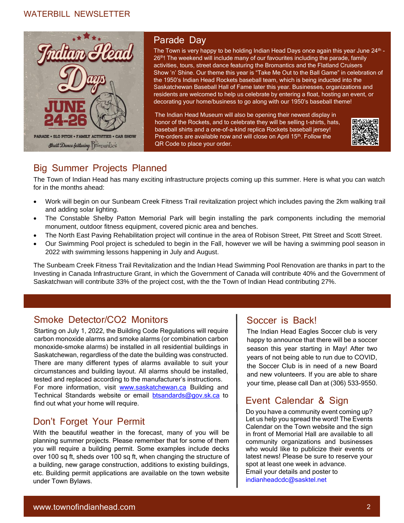#### WATERBILL NEWSLETTER



### Parade Day

The Town is very happy to be holding Indian Head Days once again this year June 24<sup>th</sup> -26<sup>th</sup>! The weekend will include many of our favourites including the parade, family activities, tours, street dance featuring the Bromantics and the Flatland Cruisers Show 'n' Shine. Our theme this year is "Take Me Out to the Ball Game" in celebration of the 1950's Indian Head Rockets baseball team, which is being inducted into the Saskatchewan Baseball Hall of Fame later this year. Businesses, organizations and residents are welcomed to help us celebrate by entering a float, hosting an event, or decorating your home/business to go along with our 1950's baseball theme!

The Indian Head Museum will also be opening their newest display in honor of the Rockets, and to celebrate they will be selling t-shirts, hats, baseball shirts and a one-of-a-kind replica Rockets baseball jersey! Pre-orders are available now and will close on April 15<sup>th</sup>. Follow the QR Code to place your order.



# Big Summer Projects Planned

The Town of Indian Head has many exciting infrastructure projects coming up this summer. Here is what you can watch for in the months ahead:

- Work will begin on our Sunbeam Creek Fitness Trail revitalization project which includes paving the 2km walking trail and adding solar lighting.
- The Constable Shelby Patton Memorial Park will begin installing the park components including the memorial monument, outdoor fitness equipment, covered picnic area and benches.
- The North East Paving Rehabilitation project will continue in the area of Robison Street, Pitt Street and Scott Street.
- Our Swimming Pool project is scheduled to begin in the Fall, however we will be having a swimming pool season in 2022 with swimming lessons happening in July and August.

The Sunbeam Creek Fitness Trail Revitalization and the Indian Head Swimming Pool Renovation are thanks in part to the Investing in Canada Infrastructure Grant, in which the Government of Canada will contribute 40% and the Government of Saskatchwan will contribute 33% of the project cost, with the the Town of Indian Head contributing 27%.

## Smoke Detector/CO2 Monitors

Ĩ

Starting on July 1, 2022, the Building Code Regulations will require carbon monoxide alarms and smoke alarms (or combination carbon monoxide-smoke alarms) be installed in all residential buildings in Saskatchewan, regardless of the date the building was constructed. There are many different types of alarms available to suit your circumstances and building layout. All alarms should be installed, tested and replaced according to the manufacturer's instructions. For more information, visit [www.saskatchewan.ca](http://www.saskatchewan.ca/) Building and Technical Standards website or email [btsandards@gov.sk.ca](mailto:btsandards@gov.sk.ca) to find out what your home will require.

## Don't Forget Your Permit

With the beautiful weather in the forecast, many of you will be planning summer projects. Please remember that for some of them you will require a building permit. Some examples include decks over 100 sq ft, sheds over 100 sq ft, when changing the structure of a building, new garage construction, additions to existing buildings, etc. Building permit applications are available on the town website under Town Bylaws.

### Soccer is Back!

The Indian Head Eagles Soccer club is very happy to announce that there will be a soccer season this year starting in May! After two years of not being able to run due to COVID, the Soccer Club is in need of a new Board and new volunteers. If you are able to share your time, please call Dan at (306) 533-9550.

# Event Calendar & Sign

Do you have a community event coming up? Let us help you spread the word! The Events Calendar on the Town website and the sign in front of Memorial Hall are available to all community organizations and businesses who would like to publicize their events or latest news! Please be sure to reserve your spot at least one week in advance. Email your details and poster to indianheadcdc@sasktel.net